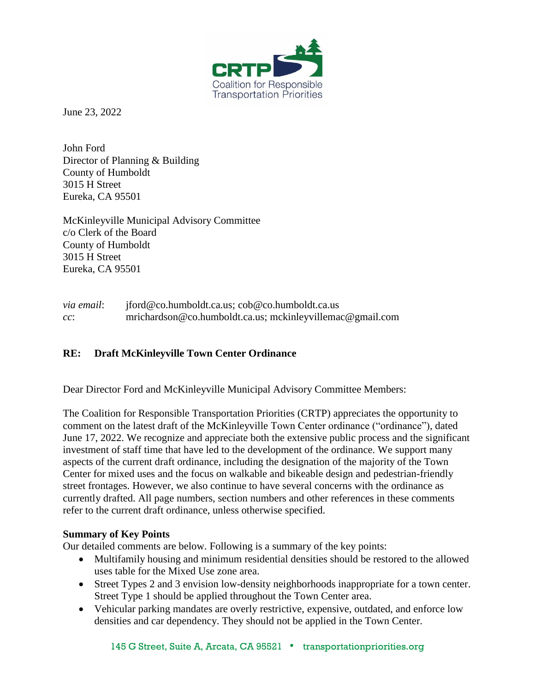

June 23, 2022

John Ford Director of Planning & Building County of Humboldt 3015 H Street Eureka, CA 95501

McKinleyville Municipal Advisory Committee c/o Clerk of the Board County of Humboldt 3015 H Street Eureka, CA 95501

*via email*: jford@co.humboldt.ca.us; cob@co.humboldt.ca.us *cc*: mrichardson@co.humboldt.ca.us; mckinleyvillemac@gmail.com

### **RE: Draft McKinleyville Town Center Ordinance**

Dear Director Ford and McKinleyville Municipal Advisory Committee Members:

The Coalition for Responsible Transportation Priorities (CRTP) appreciates the opportunity to comment on the latest draft of the McKinleyville Town Center ordinance ("ordinance"), dated June 17, 2022. We recognize and appreciate both the extensive public process and the significant investment of staff time that have led to the development of the ordinance. We support many aspects of the current draft ordinance, including the designation of the majority of the Town Center for mixed uses and the focus on walkable and bikeable design and pedestrian-friendly street frontages. However, we also continue to have several concerns with the ordinance as currently drafted. All page numbers, section numbers and other references in these comments refer to the current draft ordinance, unless otherwise specified.

#### **Summary of Key Points**

Our detailed comments are below. Following is a summary of the key points:

- Multifamily housing and minimum residential densities should be restored to the allowed uses table for the Mixed Use zone area.
- Street Types 2 and 3 envision low-density neighborhoods inappropriate for a town center. Street Type 1 should be applied throughout the Town Center area.
- Vehicular parking mandates are overly restrictive, expensive, outdated, and enforce low densities and car dependency. They should not be applied in the Town Center.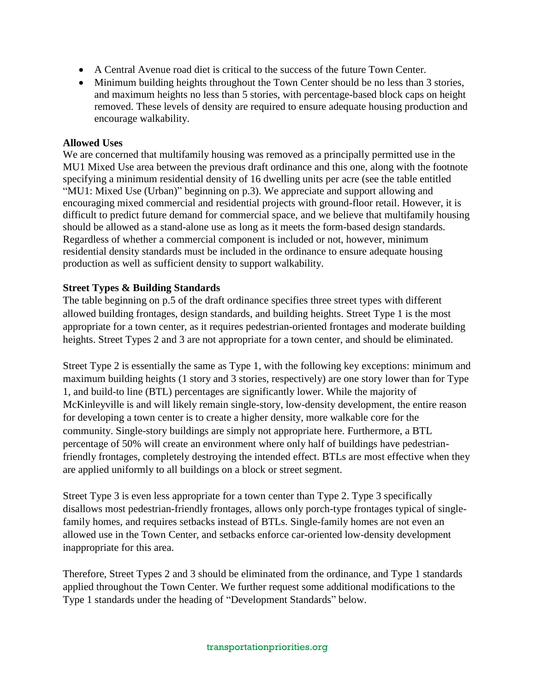- A Central Avenue road diet is critical to the success of the future Town Center.
- Minimum building heights throughout the Town Center should be no less than 3 stories, and maximum heights no less than 5 stories, with percentage-based block caps on height removed. These levels of density are required to ensure adequate housing production and encourage walkability.

#### **Allowed Uses**

We are concerned that multifamily housing was removed as a principally permitted use in the MU1 Mixed Use area between the previous draft ordinance and this one, along with the footnote specifying a minimum residential density of 16 dwelling units per acre (see the table entitled "MU1: Mixed Use (Urban)" beginning on p.3). We appreciate and support allowing and encouraging mixed commercial and residential projects with ground-floor retail. However, it is difficult to predict future demand for commercial space, and we believe that multifamily housing should be allowed as a stand-alone use as long as it meets the form-based design standards. Regardless of whether a commercial component is included or not, however, minimum residential density standards must be included in the ordinance to ensure adequate housing production as well as sufficient density to support walkability.

### **Street Types & Building Standards**

The table beginning on p.5 of the draft ordinance specifies three street types with different allowed building frontages, design standards, and building heights. Street Type 1 is the most appropriate for a town center, as it requires pedestrian-oriented frontages and moderate building heights. Street Types 2 and 3 are not appropriate for a town center, and should be eliminated.

Street Type 2 is essentially the same as Type 1, with the following key exceptions: minimum and maximum building heights (1 story and 3 stories, respectively) are one story lower than for Type 1, and build-to line (BTL) percentages are significantly lower. While the majority of McKinleyville is and will likely remain single-story, low-density development, the entire reason for developing a town center is to create a higher density, more walkable core for the community. Single-story buildings are simply not appropriate here. Furthermore, a BTL percentage of 50% will create an environment where only half of buildings have pedestrianfriendly frontages, completely destroying the intended effect. BTLs are most effective when they are applied uniformly to all buildings on a block or street segment.

Street Type 3 is even less appropriate for a town center than Type 2. Type 3 specifically disallows most pedestrian-friendly frontages, allows only porch-type frontages typical of singlefamily homes, and requires setbacks instead of BTLs. Single-family homes are not even an allowed use in the Town Center, and setbacks enforce car-oriented low-density development inappropriate for this area.

Therefore, Street Types 2 and 3 should be eliminated from the ordinance, and Type 1 standards applied throughout the Town Center. We further request some additional modifications to the Type 1 standards under the heading of "Development Standards" below.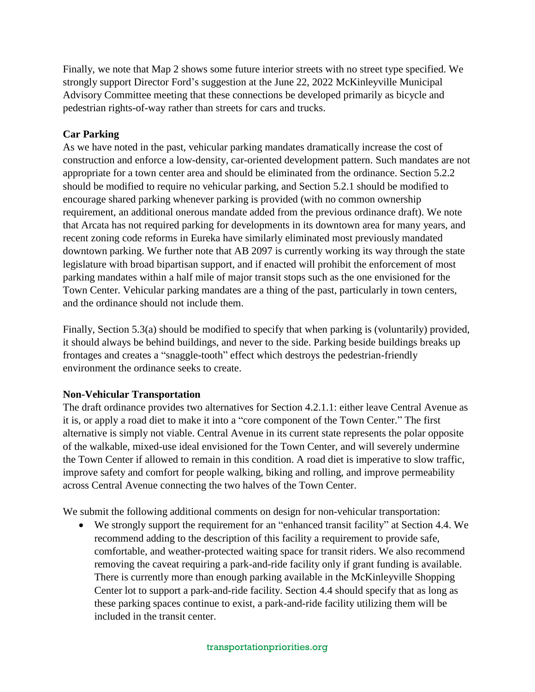Finally, we note that Map 2 shows some future interior streets with no street type specified. We strongly support Director Ford's suggestion at the June 22, 2022 McKinleyville Municipal Advisory Committee meeting that these connections be developed primarily as bicycle and pedestrian rights-of-way rather than streets for cars and trucks.

## **Car Parking**

As we have noted in the past, vehicular parking mandates dramatically increase the cost of construction and enforce a low-density, car-oriented development pattern. Such mandates are not appropriate for a town center area and should be eliminated from the ordinance. Section 5.2.2 should be modified to require no vehicular parking, and Section 5.2.1 should be modified to encourage shared parking whenever parking is provided (with no common ownership requirement, an additional onerous mandate added from the previous ordinance draft). We note that Arcata has not required parking for developments in its downtown area for many years, and recent zoning code reforms in Eureka have similarly eliminated most previously mandated downtown parking. We further note that AB 2097 is currently working its way through the state legislature with broad bipartisan support, and if enacted will prohibit the enforcement of most parking mandates within a half mile of major transit stops such as the one envisioned for the Town Center. Vehicular parking mandates are a thing of the past, particularly in town centers, and the ordinance should not include them.

Finally, Section 5.3(a) should be modified to specify that when parking is (voluntarily) provided, it should always be behind buildings, and never to the side. Parking beside buildings breaks up frontages and creates a "snaggle-tooth" effect which destroys the pedestrian-friendly environment the ordinance seeks to create.

# **Non-Vehicular Transportation**

The draft ordinance provides two alternatives for Section 4.2.1.1: either leave Central Avenue as it is, or apply a road diet to make it into a "core component of the Town Center." The first alternative is simply not viable. Central Avenue in its current state represents the polar opposite of the walkable, mixed-use ideal envisioned for the Town Center, and will severely undermine the Town Center if allowed to remain in this condition. A road diet is imperative to slow traffic, improve safety and comfort for people walking, biking and rolling, and improve permeability across Central Avenue connecting the two halves of the Town Center.

We submit the following additional comments on design for non-vehicular transportation:

 We strongly support the requirement for an "enhanced transit facility" at Section 4.4. We recommend adding to the description of this facility a requirement to provide safe, comfortable, and weather-protected waiting space for transit riders. We also recommend removing the caveat requiring a park-and-ride facility only if grant funding is available. There is currently more than enough parking available in the McKinleyville Shopping Center lot to support a park-and-ride facility. Section 4.4 should specify that as long as these parking spaces continue to exist, a park-and-ride facility utilizing them will be included in the transit center.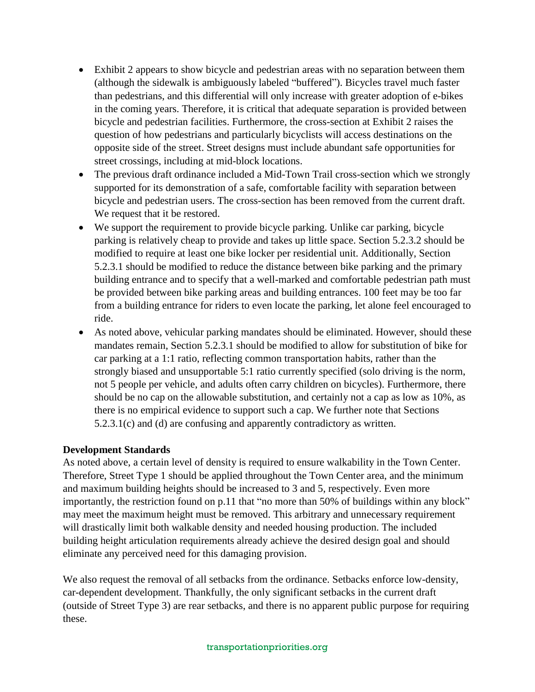- Exhibit 2 appears to show bicycle and pedestrian areas with no separation between them (although the sidewalk is ambiguously labeled "buffered"). Bicycles travel much faster than pedestrians, and this differential will only increase with greater adoption of e-bikes in the coming years. Therefore, it is critical that adequate separation is provided between bicycle and pedestrian facilities. Furthermore, the cross-section at Exhibit 2 raises the question of how pedestrians and particularly bicyclists will access destinations on the opposite side of the street. Street designs must include abundant safe opportunities for street crossings, including at mid-block locations.
- The previous draft ordinance included a Mid-Town Trail cross-section which we strongly supported for its demonstration of a safe, comfortable facility with separation between bicycle and pedestrian users. The cross-section has been removed from the current draft. We request that it be restored.
- We support the requirement to provide bicycle parking. Unlike car parking, bicycle parking is relatively cheap to provide and takes up little space. Section 5.2.3.2 should be modified to require at least one bike locker per residential unit. Additionally, Section 5.2.3.1 should be modified to reduce the distance between bike parking and the primary building entrance and to specify that a well-marked and comfortable pedestrian path must be provided between bike parking areas and building entrances. 100 feet may be too far from a building entrance for riders to even locate the parking, let alone feel encouraged to ride.
- As noted above, vehicular parking mandates should be eliminated. However, should these mandates remain, Section 5.2.3.1 should be modified to allow for substitution of bike for car parking at a 1:1 ratio, reflecting common transportation habits, rather than the strongly biased and unsupportable 5:1 ratio currently specified (solo driving is the norm, not 5 people per vehicle, and adults often carry children on bicycles). Furthermore, there should be no cap on the allowable substitution, and certainly not a cap as low as 10%, as there is no empirical evidence to support such a cap. We further note that Sections 5.2.3.1(c) and (d) are confusing and apparently contradictory as written.

### **Development Standards**

As noted above, a certain level of density is required to ensure walkability in the Town Center. Therefore, Street Type 1 should be applied throughout the Town Center area, and the minimum and maximum building heights should be increased to 3 and 5, respectively. Even more importantly, the restriction found on p.11 that "no more than 50% of buildings within any block" may meet the maximum height must be removed. This arbitrary and unnecessary requirement will drastically limit both walkable density and needed housing production. The included building height articulation requirements already achieve the desired design goal and should eliminate any perceived need for this damaging provision.

We also request the removal of all setbacks from the ordinance. Setbacks enforce low-density, car-dependent development. Thankfully, the only significant setbacks in the current draft (outside of Street Type 3) are rear setbacks, and there is no apparent public purpose for requiring these.